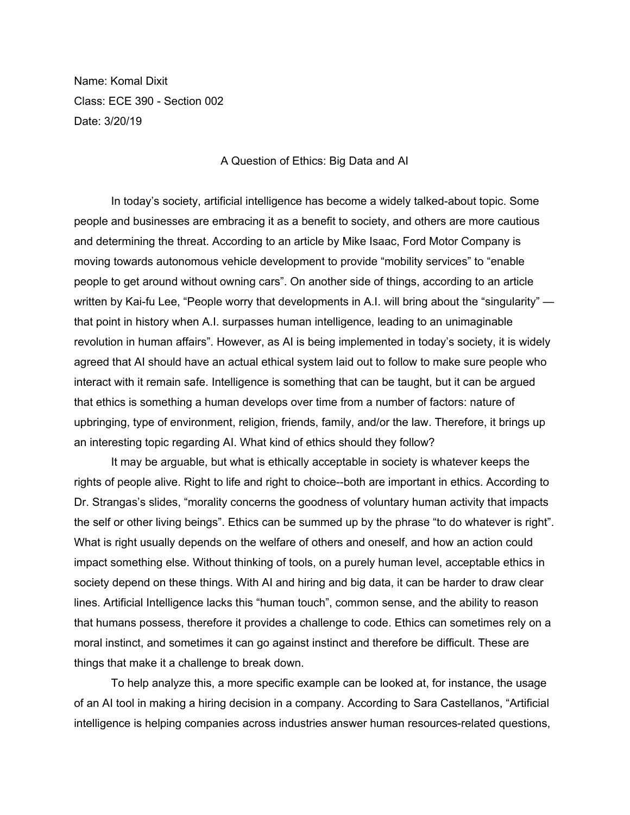Name: Komal Dixit Class: ECE 390 - Section 002 Date: 3/20/19

## A Question of Ethics: Big Data and AI

In today's society, artificial intelligence has become a widely talked-about topic. Some people and businesses are embracing it as a benefit to society, and others are more cautious and determining the threat. According to an article by Mike Isaac, Ford Motor Company is moving towards autonomous vehicle development to provide "mobility services" to "enable people to get around without owning cars". On another side of things, according to an article written by Kai-fu Lee, "People worry that developments in A.I. will bring about the "singularity" that point in history when A.I. surpasses human intelligence, leading to an unimaginable revolution in human affairs". However, as AI is being implemented in today's society, it is widely agreed that AI should have an actual ethical system laid out to follow to make sure people who interact with it remain safe. Intelligence is something that can be taught, but it can be argued that ethics is something a human develops over time from a number of factors: nature of upbringing, type of environment, religion, friends, family, and/or the law. Therefore, it brings up an interesting topic regarding AI. What kind of ethics should they follow?

It may be arguable, but what is ethically acceptable in society is whatever keeps the rights of people alive. Right to life and right to choice--both are important in ethics. According to Dr. Strangas's slides, "morality concerns the goodness of voluntary human activity that impacts the self or other living beings". Ethics can be summed up by the phrase "to do whatever is right". What is right usually depends on the welfare of others and oneself, and how an action could impact something else. Without thinking of tools, on a purely human level, acceptable ethics in society depend on these things. With AI and hiring and big data, it can be harder to draw clear lines. Artificial Intelligence lacks this "human touch", common sense, and the ability to reason that humans possess, therefore it provides a challenge to code. Ethics can sometimes rely on a moral instinct, and sometimes it can go against instinct and therefore be difficult. These are things that make it a challenge to break down.

To help analyze this, a more specific example can be looked at, for instance, the usage of an AI tool in making a hiring decision in a company. According to Sara Castellanos, "Artificial intelligence is helping companies across industries answer human resources-related questions,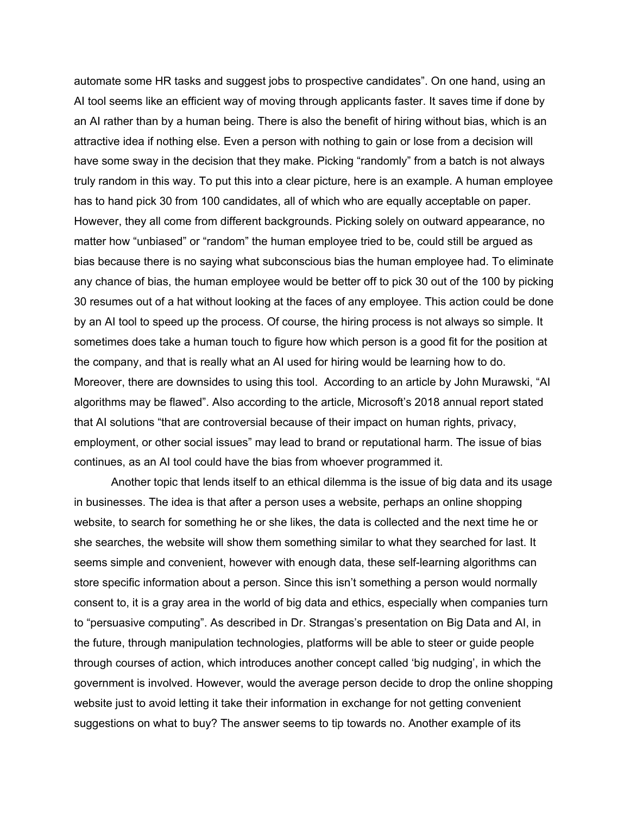automate some HR tasks and suggest jobs to prospective candidates". On one hand, using an AI tool seems like an efficient way of moving through applicants faster. It saves time if done by an AI rather than by a human being. There is also the benefit of hiring without bias, which is an attractive idea if nothing else. Even a person with nothing to gain or lose from a decision will have some sway in the decision that they make. Picking "randomly" from a batch is not always truly random in this way. To put this into a clear picture, here is an example. A human employee has to hand pick 30 from 100 candidates, all of which who are equally acceptable on paper. However, they all come from different backgrounds. Picking solely on outward appearance, no matter how "unbiased" or "random" the human employee tried to be, could still be argued as bias because there is no saying what subconscious bias the human employee had. To eliminate any chance of bias, the human employee would be better off to pick 30 out of the 100 by picking 30 resumes out of a hat without looking at the faces of any employee. This action could be done by an AI tool to speed up the process. Of course, the hiring process is not always so simple. It sometimes does take a human touch to figure how which person is a good fit for the position at the company, and that is really what an AI used for hiring would be learning how to do. Moreover, there are downsides to using this tool. According to an article by John Murawski, "AI algorithms may be flawed". Also according to the article, Microsoft's 2018 annual report stated that AI solutions "that are controversial because of their impact on human rights, privacy, employment, or other social issues" may lead to brand or reputational harm. The issue of bias continues, as an AI tool could have the bias from whoever programmed it.

Another topic that lends itself to an ethical dilemma is the issue of big data and its usage in businesses. The idea is that after a person uses a website, perhaps an online shopping website, to search for something he or she likes, the data is collected and the next time he or she searches, the website will show them something similar to what they searched for last. It seems simple and convenient, however with enough data, these self-learning algorithms can store specific information about a person. Since this isn't something a person would normally consent to, it is a gray area in the world of big data and ethics, especially when companies turn to "persuasive computing". As described in Dr. Strangas's presentation on Big Data and AI, in the future, through manipulation technologies, platforms will be able to steer or guide people through courses of action, which introduces another concept called 'big nudging', in which the government is involved. However, would the average person decide to drop the online shopping website just to avoid letting it take their information in exchange for not getting convenient suggestions on what to buy? The answer seems to tip towards no. Another example of its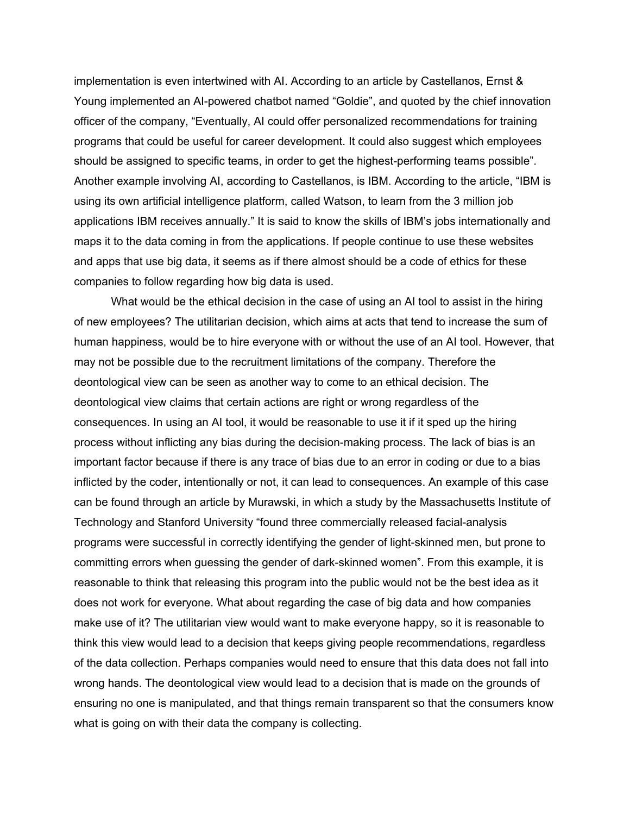implementation is even intertwined with AI. According to an article by Castellanos, Ernst & Young implemented an AI-powered chatbot named "Goldie", and quoted by the chief innovation officer of the company, "Eventually, AI could offer personalized recommendations for training programs that could be useful for career development. It could also suggest which employees should be assigned to specific teams, in order to get the highest-performing teams possible". Another example involving AI, according to Castellanos, is IBM. According to the article, "IBM is using its own artificial intelligence platform, called Watson, to learn from the 3 million job applications IBM receives annually." It is said to know the skills of IBM's jobs internationally and maps it to the data coming in from the applications. If people continue to use these websites and apps that use big data, it seems as if there almost should be a code of ethics for these companies to follow regarding how big data is used.

What would be the ethical decision in the case of using an AI tool to assist in the hiring of new employees? The utilitarian decision, which aims at acts that tend to increase the sum of human happiness, would be to hire everyone with or without the use of an AI tool. However, that may not be possible due to the recruitment limitations of the company. Therefore the deontological view can be seen as another way to come to an ethical decision. The deontological view claims that certain actions are right or wrong regardless of the consequences. In using an AI tool, it would be reasonable to use it if it sped up the hiring process without inflicting any bias during the decision-making process. The lack of bias is an important factor because if there is any trace of bias due to an error in coding or due to a bias inflicted by the coder, intentionally or not, it can lead to consequences. An example of this case can be found through an article by Murawski, in which a study by the Massachusetts Institute of Technology and Stanford University "found three commercially released facial-analysis programs were successful in correctly identifying the gender of light-skinned men, but prone to committing errors when guessing the gender of dark-skinned women". From this example, it is reasonable to think that releasing this program into the public would not be the best idea as it does not work for everyone. What about regarding the case of big data and how companies make use of it? The utilitarian view would want to make everyone happy, so it is reasonable to think this view would lead to a decision that keeps giving people recommendations, regardless of the data collection. Perhaps companies would need to ensure that this data does not fall into wrong hands. The deontological view would lead to a decision that is made on the grounds of ensuring no one is manipulated, and that things remain transparent so that the consumers know what is going on with their data the company is collecting.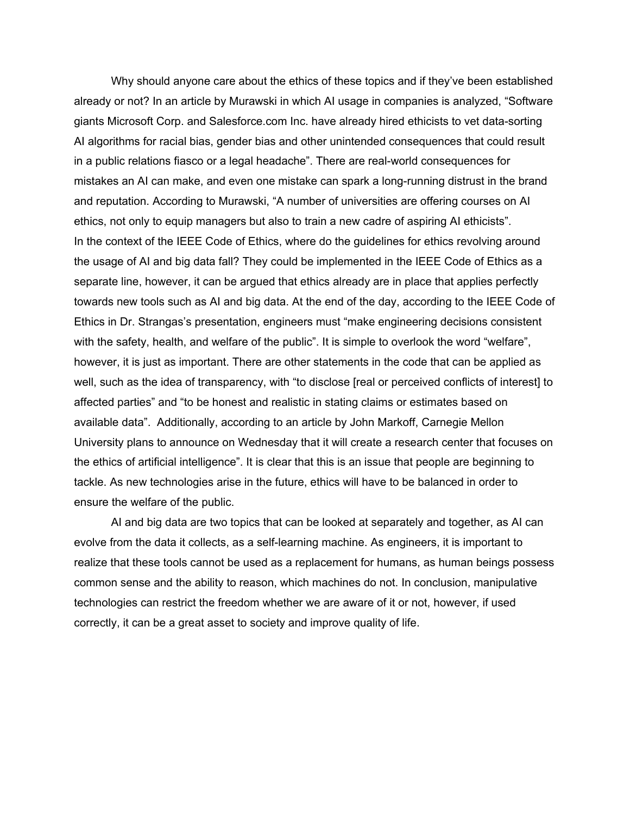Why should anyone care about the ethics of these topics and if they've been established already or not? In an article by Murawski in which AI usage in companies is analyzed, "Software giants Microsoft Corp. and Salesforce.com Inc. have already hired ethicists to vet data-sorting AI algorithms for racial bias, gender bias and other unintended consequences that could result in a public relations fiasco or a legal headache". There are real-world consequences for mistakes an AI can make, and even one mistake can spark a long-running distrust in the brand and reputation. According to Murawski, "A number of universities are offering courses on AI ethics, not only to equip managers but also to train a new cadre of aspiring AI ethicists". In the context of the IEEE Code of Ethics, where do the guidelines for ethics revolving around the usage of AI and big data fall? They could be implemented in the IEEE Code of Ethics as a separate line, however, it can be argued that ethics already are in place that applies perfectly towards new tools such as AI and big data. At the end of the day, according to the IEEE Code of Ethics in Dr. Strangas's presentation, engineers must "make engineering decisions consistent with the safety, health, and welfare of the public". It is simple to overlook the word "welfare", however, it is just as important. There are other statements in the code that can be applied as well, such as the idea of transparency, with "to disclose [real or perceived conflicts of interest] to affected parties" and "to be honest and realistic in stating claims or estimates based on available data". Additionally, according to an article by John Markoff, Carnegie Mellon University plans to announce on Wednesday that it will create a research center that focuses on the ethics of artificial intelligence". It is clear that this is an issue that people are beginning to tackle. As new technologies arise in the future, ethics will have to be balanced in order to ensure the welfare of the public.

AI and big data are two topics that can be looked at separately and together, as AI can evolve from the data it collects, as a self-learning machine. As engineers, it is important to realize that these tools cannot be used as a replacement for humans, as human beings possess common sense and the ability to reason, which machines do not. In conclusion, manipulative technologies can restrict the freedom whether we are aware of it or not, however, if used correctly, it can be a great asset to society and improve quality of life.